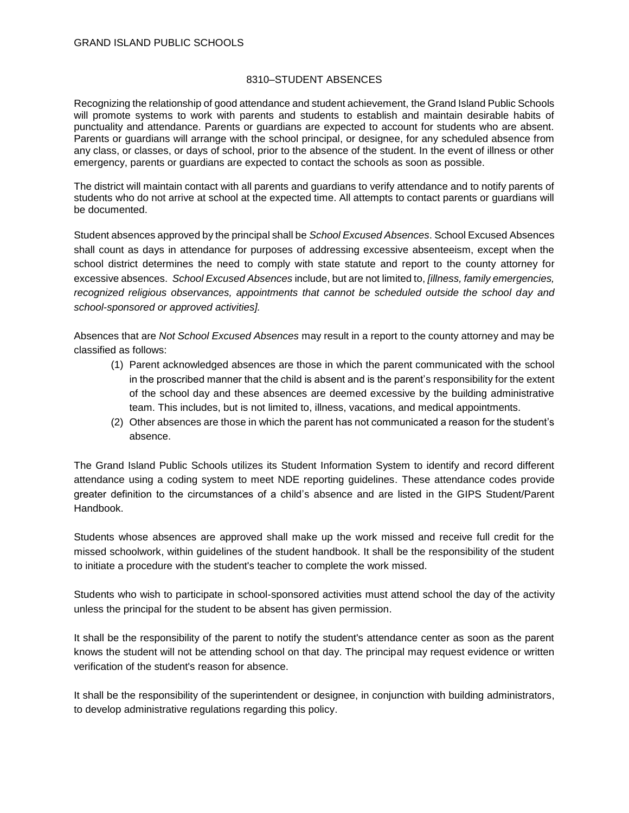## 8310–STUDENT ABSENCES

Recognizing the relationship of good attendance and student achievement, the Grand Island Public Schools will promote systems to work with parents and students to establish and maintain desirable habits of punctuality and attendance. Parents or guardians are expected to account for students who are absent. Parents or guardians will arrange with the school principal, or designee, for any scheduled absence from any class, or classes, or days of school, prior to the absence of the student. In the event of illness or other emergency, parents or guardians are expected to contact the schools as soon as possible.

The district will maintain contact with all parents and guardians to verify attendance and to notify parents of students who do not arrive at school at the expected time. All attempts to contact parents or guardians will be documented.

Student absences approved by the principal shall be *School Excused Absences*. School Excused Absences shall count as days in attendance for purposes of addressing excessive absenteeism, except when the school district determines the need to comply with state statute and report to the county attorney for excessive absences. *School Excused Absences* include, but are not limited to, *[illness, family emergencies, recognized religious observances, appointments that cannot be scheduled outside the school day and school-sponsored or approved activities].*

Absences that are *Not School Excused Absences* may result in a report to the county attorney and may be classified as follows:

- (1) Parent acknowledged absences are those in which the parent communicated with the school in the proscribed manner that the child is absent and is the parent's responsibility for the extent of the school day and these absences are deemed excessive by the building administrative team. This includes, but is not limited to, illness, vacations, and medical appointments.
- (2) Other absences are those in which the parent has not communicated a reason for the student's absence.

The Grand Island Public Schools utilizes its Student Information System to identify and record different attendance using a coding system to meet NDE reporting guidelines. These attendance codes provide greater definition to the circumstances of a child's absence and are listed in the GIPS Student/Parent Handbook.

Students whose absences are approved shall make up the work missed and receive full credit for the missed schoolwork, within guidelines of the student handbook. It shall be the responsibility of the student to initiate a procedure with the student's teacher to complete the work missed.

Students who wish to participate in school-sponsored activities must attend school the day of the activity unless the principal for the student to be absent has given permission.

It shall be the responsibility of the parent to notify the student's attendance center as soon as the parent knows the student will not be attending school on that day. The principal may request evidence or written verification of the student's reason for absence.

It shall be the responsibility of the superintendent or designee, in conjunction with building administrators, to develop administrative regulations regarding this policy.